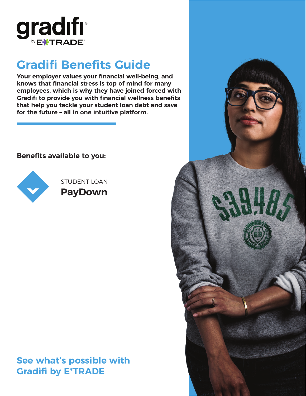

# **Gradifi Benefits Guide**

**Your employer values your financial well-being, and knows that financial stress is top of mind for many employees, which is why they have joined forced with Gradifi to provide you with financial wellness benefits that help you tackle your student loan debt and save for the future – all in one intuitive platform.**

### **Benefits available to you:**



STUDENT LOAN **PayDown**

# **See what's possible with Gradifi by E\*TRADE**

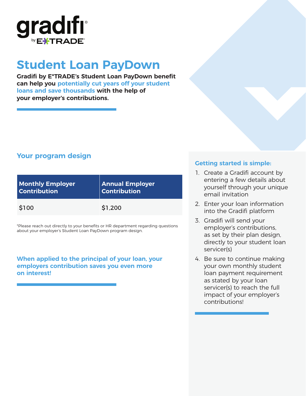

# **Student Loan PayDown**

**Gradifi by E\*TRADE's Student Loan PayDown benefit can help you potentially cut years off your student loans and save thousands with the help of your employer's contributions.**

## **Your program design**

| <b>Monthly Employer</b> | <b>Annual Employer</b> |
|-------------------------|------------------------|
| <b>Contribution</b>     | $ $ Contribution       |
| \$100                   | \$1,200                |

\*Please reach out directly to your benefits or HR department regarding questions about your employer's Student Loan PayDown program design.

#### **When applied to the principal of your loan, your employers contribution saves you even more on interest!**

### **Getting started is simple:**

- 1. Create a Gradifi account by entering a few details about yourself through your unique email invitation
- 2. Enter your loan information into the Gradifi platform
- 3. Gradifi will send your employer's contributions, as set by their plan design, directly to your student loan servicer(s)
- 4. Be sure to continue making your own monthly student loan payment requirement as stated by your loan servicer(s) to reach the full impact of your employer's contributions!